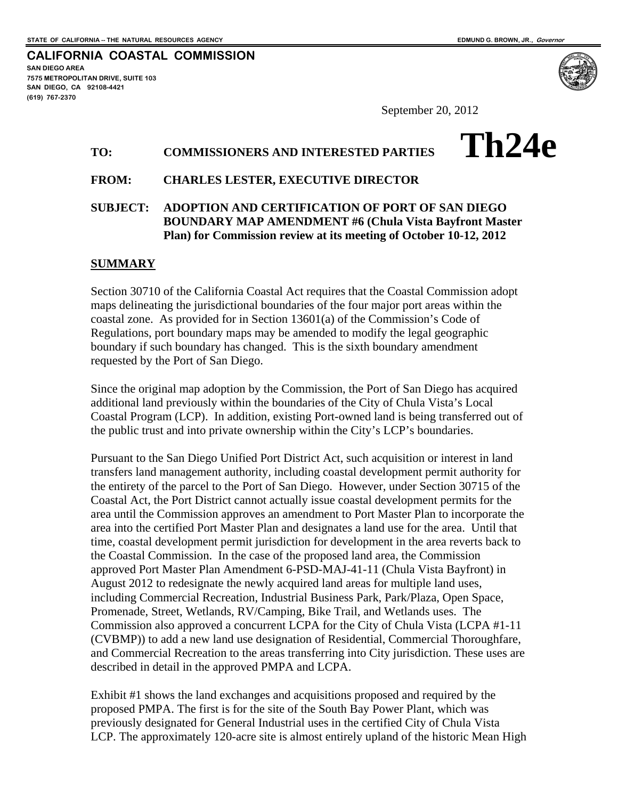**SAN DIEGO AREA** 

**(619) 767-2370**

**7575 METROPOLITAN DRIVE, SUITE 103 SAN DIEGO, CA 92108-4421** 

**CALIFORNIA COASTAL COMMISSION** 

**Th24e** 

September 20, 2012

# **TO: COMMISSIONERS AND INTERESTED PARTIES**

### **FROM: CHARLES LESTER, EXECUTIVE DIRECTOR**

## **SUBJECT: ADOPTION AND CERTIFICATION OF PORT OF SAN DIEGO BOUNDARY MAP AMENDMENT #6 (Chula Vista Bayfront Master Plan) for Commission review at its meeting of October 10-12, 2012**

### **SUMMARY**

Section 30710 of the California Coastal Act requires that the Coastal Commission adopt maps delineating the jurisdictional boundaries of the four major port areas within the coastal zone. As provided for in Section 13601(a) of the Commission's Code of Regulations, port boundary maps may be amended to modify the legal geographic boundary if such boundary has changed. This is the sixth boundary amendment requested by the Port of San Diego.

Since the original map adoption by the Commission, the Port of San Diego has acquired additional land previously within the boundaries of the City of Chula Vista's Local Coastal Program (LCP). In addition, existing Port-owned land is being transferred out of the public trust and into private ownership within the City's LCP's boundaries.

Pursuant to the San Diego Unified Port District Act, such acquisition or interest in land transfers land management authority, including coastal development permit authority for the entirety of the parcel to the Port of San Diego. However, under Section 30715 of the Coastal Act, the Port District cannot actually issue coastal development permits for the area until the Commission approves an amendment to Port Master Plan to incorporate the area into the certified Port Master Plan and designates a land use for the area. Until that time, coastal development permit jurisdiction for development in the area reverts back to the Coastal Commission. In the case of the proposed land area, the Commission approved Port Master Plan Amendment 6-PSD-MAJ-41-11 (Chula Vista Bayfront) in August 2012 to redesignate the newly acquired land areas for multiple land uses, including Commercial Recreation, Industrial Business Park, Park/Plaza, Open Space, Promenade, Street, Wetlands, RV/Camping, Bike Trail, and Wetlands uses. The Commission also approved a concurrent LCPA for the City of Chula Vista (LCPA #1-11 (CVBMP)) to add a new land use designation of Residential, Commercial Thoroughfare, and Commercial Recreation to the areas transferring into City jurisdiction. These uses are described in detail in the approved PMPA and LCPA.

Exhibit #1 shows the land exchanges and acquisitions proposed and required by the proposed PMPA. The first is for the site of the South Bay Power Plant, which was previously designated for General Industrial uses in the certified City of Chula Vista LCP. The approximately 120-acre site is almost entirely upland of the historic Mean High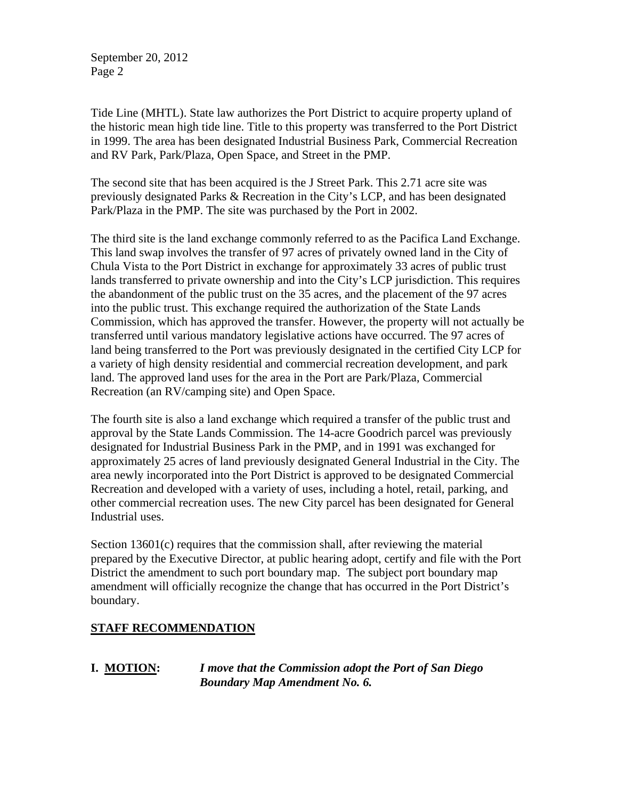September 20, 2012 Page 2

Tide Line (MHTL). State law authorizes the Port District to acquire property upland of the historic mean high tide line. Title to this property was transferred to the Port District in 1999. The area has been designated Industrial Business Park, Commercial Recreation and RV Park, Park/Plaza, Open Space, and Street in the PMP.

The second site that has been acquired is the J Street Park. This 2.71 acre site was previously designated Parks & Recreation in the City's LCP, and has been designated Park/Plaza in the PMP. The site was purchased by the Port in 2002.

The third site is the land exchange commonly referred to as the Pacifica Land Exchange. This land swap involves the transfer of 97 acres of privately owned land in the City of Chula Vista to the Port District in exchange for approximately 33 acres of public trust lands transferred to private ownership and into the City's LCP jurisdiction. This requires the abandonment of the public trust on the 35 acres, and the placement of the 97 acres into the public trust. This exchange required the authorization of the State Lands Commission, which has approved the transfer. However, the property will not actually be transferred until various mandatory legislative actions have occurred. The 97 acres of land being transferred to the Port was previously designated in the certified City LCP for a variety of high density residential and commercial recreation development, and park land. The approved land uses for the area in the Port are Park/Plaza, Commercial Recreation (an RV/camping site) and Open Space.

The fourth site is also a land exchange which required a transfer of the public trust and approval by the State Lands Commission. The 14-acre Goodrich parcel was previously designated for Industrial Business Park in the PMP, and in 1991 was exchanged for approximately 25 acres of land previously designated General Industrial in the City. The area newly incorporated into the Port District is approved to be designated Commercial Recreation and developed with a variety of uses, including a hotel, retail, parking, and other commercial recreation uses. The new City parcel has been designated for General Industrial uses.

Section 13601(c) requires that the commission shall, after reviewing the material prepared by the Executive Director, at public hearing adopt, certify and file with the Port District the amendment to such port boundary map. The subject port boundary map amendment will officially recognize the change that has occurred in the Port District's boundary.

# **STAFF RECOMMENDATION**

**I. MOTION:** *I move that the Commission adopt the Port of San Diego Boundary Map Amendment No. 6.*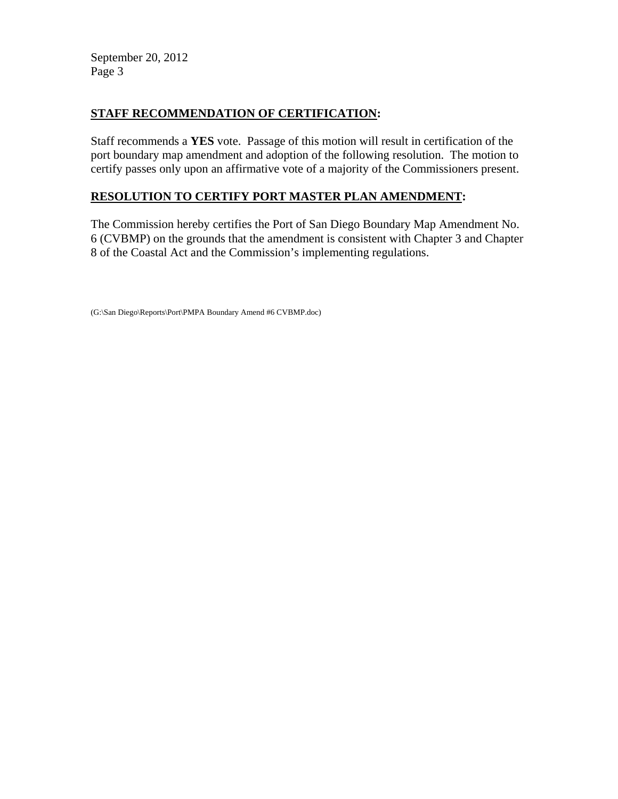September 20, 2012 Page 3

# **STAFF RECOMMENDATION OF CERTIFICATION:**

Staff recommends a **YES** vote. Passage of this motion will result in certification of the port boundary map amendment and adoption of the following resolution. The motion to certify passes only upon an affirmative vote of a majority of the Commissioners present.

# **RESOLUTION TO CERTIFY PORT MASTER PLAN AMENDMENT:**

The Commission hereby certifies the Port of San Diego Boundary Map Amendment No. 6 (CVBMP) on the grounds that the amendment is consistent with Chapter 3 and Chapter 8 of the Coastal Act and the Commission's implementing regulations.

```
(G:\San Diego\Reports\Port\PMPA Boundary Amend #6 CVBMP.doc)
```